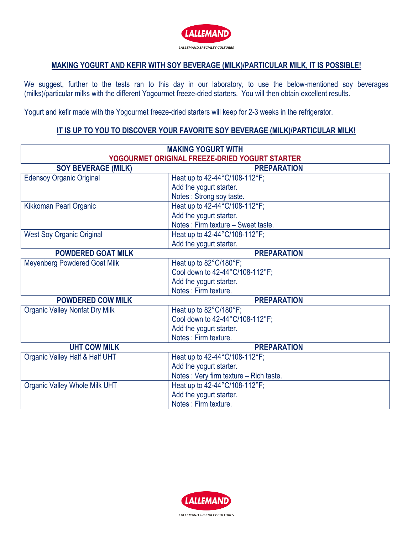

## **MAKING YOGURT AND KEFIR WITH SOY BEVERAGE (MILK)/PARTICULAR MILK, IT IS POSSIBLE!**

We suggest, further to the tests ran to this day in our laboratory, to use the below-mentioned soy beverages (milks)/particular milks with the different Yogourmet freeze-dried starters. You will then obtain excellent results.

Yogurt and kefir made with the Yogourmet freeze-dried starters will keep for 2-3 weeks in the refrigerator.

## **IT IS UP TO YOU TO DISCOVER YOUR FAVORITE SOY BEVERAGE (MILK)/PARTICULAR MILK!**

| <b>MAKING YOGURT WITH</b>                      |                                        |
|------------------------------------------------|----------------------------------------|
| YOGOURMET ORIGINAL FREEZE-DRIED YOGURT STARTER |                                        |
| <b>SOY BEVERAGE (MILK)</b>                     | <b>PREPARATION</b>                     |
| <b>Edensoy Organic Original</b>                | Heat up to 42-44°C/108-112°F;          |
|                                                | Add the yogurt starter.                |
|                                                | Notes: Strong soy taste.               |
| Kikkoman Pearl Organic                         | Heat up to 42-44°C/108-112°F;          |
|                                                | Add the yogurt starter.                |
|                                                | Notes: Firm texture - Sweet taste.     |
| <b>West Soy Organic Original</b>               | Heat up to 42-44°C/108-112°F;          |
|                                                | Add the yogurt starter.                |
| <b>POWDERED GOAT MILK</b>                      | <b>PREPARATION</b>                     |
| <b>Meyenberg Powdered Goat Milk</b>            | Heat up to 82°C/180°F;                 |
|                                                | Cool down to 42-44°C/108-112°F;        |
|                                                | Add the yogurt starter.                |
|                                                | Notes: Firm texture.                   |
| <b>POWDERED COW MILK</b>                       | <b>PREPARATION</b>                     |
| <b>Organic Valley Nonfat Dry Milk</b>          | Heat up to 82°C/180°F;                 |
|                                                | Cool down to 42-44°C/108-112°F;        |
|                                                | Add the yogurt starter.                |
|                                                | Notes : Firm texture.                  |
| <b>UHT COW MILK</b>                            | <b>PREPARATION</b>                     |
| Organic Valley Half & Half UHT                 | Heat up to 42-44°C/108-112°F;          |
|                                                | Add the yogurt starter.                |
|                                                | Notes: Very firm texture - Rich taste. |
| <b>Organic Valley Whole Milk UHT</b>           | Heat up to 42-44°C/108-112°F;          |
|                                                | Add the yogurt starter.                |
|                                                | Notes: Firm texture.                   |

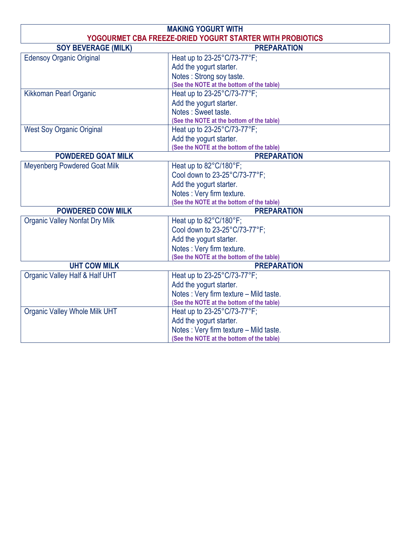| <b>MAKING YOGURT WITH</b>                                 |                                           |  |
|-----------------------------------------------------------|-------------------------------------------|--|
| YOGOURMET CBA FREEZE-DRIED YOGURT STARTER WITH PROBIOTICS |                                           |  |
| <b>SOY BEVERAGE (MILK)</b>                                | <b>PREPARATION</b>                        |  |
| <b>Edensoy Organic Original</b>                           | Heat up to 23-25°C/73-77°F;               |  |
|                                                           | Add the yogurt starter.                   |  |
|                                                           | Notes: Strong soy taste.                  |  |
|                                                           | (See the NOTE at the bottom of the table) |  |
| <b>Kikkoman Pearl Organic</b>                             | Heat up to 23-25°C/73-77°F;               |  |
|                                                           | Add the yogurt starter.                   |  |
|                                                           | Notes: Sweet taste.                       |  |
|                                                           | (See the NOTE at the bottom of the table) |  |
| <b>West Soy Organic Original</b>                          | Heat up to 23-25°C/73-77°F;               |  |
|                                                           | Add the yogurt starter.                   |  |
|                                                           | (See the NOTE at the bottom of the table) |  |
| <b>POWDERED GOAT MILK</b>                                 | <b>PREPARATION</b>                        |  |
| <b>Meyenberg Powdered Goat Milk</b>                       | Heat up to 82°C/180°F;                    |  |
|                                                           | Cool down to 23-25°C/73-77°F;             |  |
|                                                           | Add the yogurt starter.                   |  |
|                                                           | Notes: Very firm texture.                 |  |
|                                                           | (See the NOTE at the bottom of the table) |  |
| <b>POWDERED COW MILK</b>                                  | <b>PREPARATION</b>                        |  |
| <b>Organic Valley Nonfat Dry Milk</b>                     | Heat up to 82°C/180°F;                    |  |
|                                                           | Cool down to 23-25°C/73-77°F;             |  |
|                                                           | Add the yogurt starter.                   |  |
|                                                           | Notes: Very firm texture.                 |  |
|                                                           | (See the NOTE at the bottom of the table) |  |
| <b>UHT COW MILK</b>                                       | <b>PREPARATION</b>                        |  |
| Organic Valley Half & Half UHT                            | Heat up to 23-25°C/73-77°F;               |  |
|                                                           | Add the yogurt starter.                   |  |
|                                                           | Notes: Very firm texture - Mild taste.    |  |
|                                                           | (See the NOTE at the bottom of the table) |  |
| <b>Organic Valley Whole Milk UHT</b>                      | Heat up to 23-25°C/73-77°F;               |  |
|                                                           | Add the yogurt starter.                   |  |
|                                                           | Notes: Very firm texture - Mild taste.    |  |
|                                                           | (See the NOTE at the bottom of the table) |  |